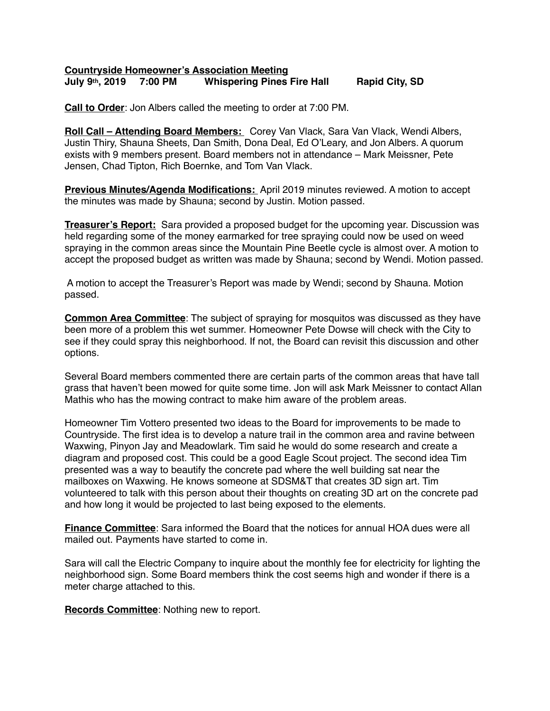## **Countryside Homeowner's Association Meeting July 9th, 2019 7:00 PM Whispering Pines Fire Hall Rapid City, SD**

**Call to Order**: Jon Albers called the meeting to order at 7:00 PM.

**Roll Call – Attending Board Members:** Corey Van Vlack, Sara Van Vlack, Wendi Albers, Justin Thiry, Shauna Sheets, Dan Smith, Dona Deal, Ed O'Leary, and Jon Albers. A quorum exists with 9 members present. Board members not in attendance – Mark Meissner, Pete Jensen, Chad Tipton, Rich Boernke, and Tom Van Vlack.

**Previous Minutes/Agenda Modifications:** April 2019 minutes reviewed. A motion to accept the minutes was made by Shauna; second by Justin. Motion passed.

**Treasurer's Report:** Sara provided a proposed budget for the upcoming year. Discussion was held regarding some of the money earmarked for tree spraying could now be used on weed spraying in the common areas since the Mountain Pine Beetle cycle is almost over. A motion to accept the proposed budget as written was made by Shauna; second by Wendi. Motion passed.

 A motion to accept the Treasurer's Report was made by Wendi; second by Shauna. Motion passed.

**Common Area Committee**: The subject of spraying for mosquitos was discussed as they have been more of a problem this wet summer. Homeowner Pete Dowse will check with the City to see if they could spray this neighborhood. If not, the Board can revisit this discussion and other options.

Several Board members commented there are certain parts of the common areas that have tall grass that haven't been mowed for quite some time. Jon will ask Mark Meissner to contact Allan Mathis who has the mowing contract to make him aware of the problem areas.

Homeowner Tim Vottero presented two ideas to the Board for improvements to be made to Countryside. The first idea is to develop a nature trail in the common area and ravine between Waxwing, Pinyon Jay and Meadowlark. Tim said he would do some research and create a diagram and proposed cost. This could be a good Eagle Scout project. The second idea Tim presented was a way to beautify the concrete pad where the well building sat near the mailboxes on Waxwing. He knows someone at SDSM&T that creates 3D sign art. Tim volunteered to talk with this person about their thoughts on creating 3D art on the concrete pad and how long it would be projected to last being exposed to the elements.

**Finance Committee**: Sara informed the Board that the notices for annual HOA dues were all mailed out. Payments have started to come in.

Sara will call the Electric Company to inquire about the monthly fee for electricity for lighting the neighborhood sign. Some Board members think the cost seems high and wonder if there is a meter charge attached to this.

**Records Committee**: Nothing new to report.